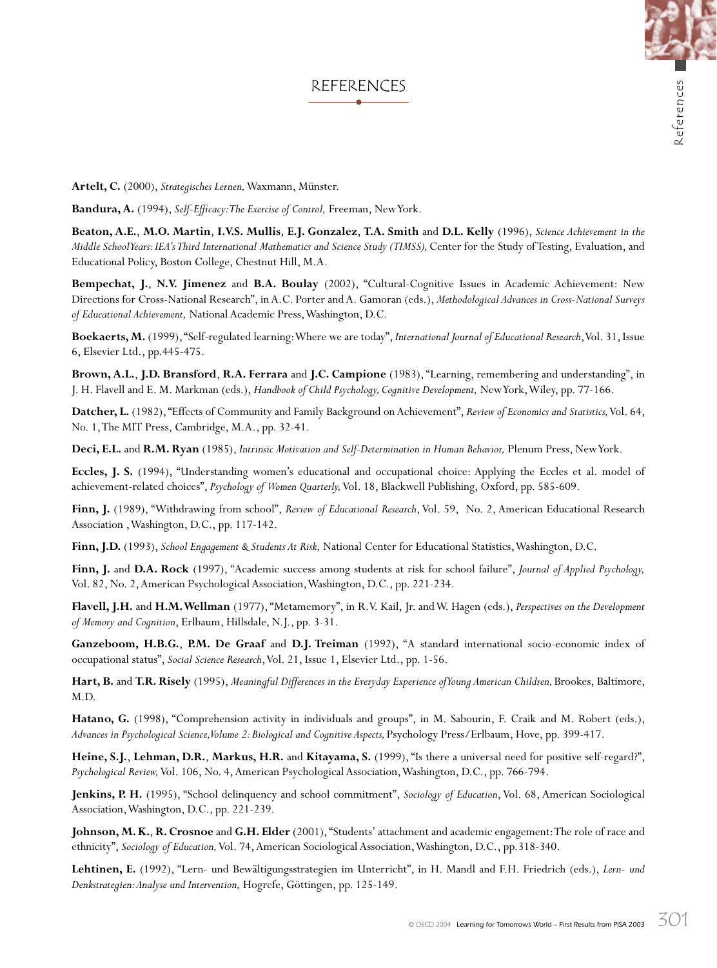## REFERENCES

**Artelt, C.** (2000), *Strategisches Lernen,* Waxmann, Münster.

**Bandura, A.** (1994), *Self-Efficacy: The Exercise of Control,* Freeman, New York.

**Beaton, A.E.**, **M.O. Martin**, **I.V.S. Mullis**, **E.J. Gonzalez**, **T.A. Smith** and **D.L. Kelly** (1996), *Science Achievement in the Middle School Years: IEA's Third International Mathematics and Science Study (TIMSS),* Center for the Study of Testing, Evaluation, and Educational Policy, Boston College, Chestnut Hill, M.A.

**Bempechat, J.**, **N.V. Jimenez** and **B.A. Boulay** (2002), "Cultural-Cognitive Issues in Academic Achievement: New Directions for Cross-National Research", in A.C. Porter and A. Gamoran (eds.), *Methodological Advances in Cross-National Surveys of Educational Achievement,* National Academic Press, Washington, D.C.

**Boekaerts, M.** (1999), "Self-regulated learning: Where we are today", *International Journal of Educational Research*, Vol. 31, Issue 6, Elsevier Ltd., pp.445-475.

**Brown, A.L.**, **J.D. Bransford**, **R.A. Ferrara** and **J.C. Campione** (1983), "Learning, remembering and understanding", in J. H. Flavell and E. M. Markman (eds.), *Handbook of Child Psychology, Cognitive Development,* New York, Wiley, pp. 77-166.

**Datcher, L.** (1982), "Effects of Community and Family Background on Achievement", *Review of Economics and Statistics,* Vol. 64, No. 1, The MIT Press, Cambridge, M.A., pp. 32-41.

**Deci, E.L.** and **R.M. Ryan** (1985), *Intrinsic Motivation and Self-Determination in Human Behavior,* Plenum Press, New York.

**Eccles, J. S.** (1994), "Understanding women's educational and occupational choice: Applying the Eccles et al. model of achievement-related choices", *Psychology of Women Quarterly,* Vol. 18, Blackwell Publishing, Oxford, pp. 585-609.

**Finn, J.** (1989), "Withdrawing from school", *Review of Educational Research*, Vol. 59, No. 2, American Educational Research Association , Washington, D.C., pp. 117-142.

**Finn, J.D.** (1993), *School Engagement & Students At Risk,* National Center for Educational Statistics, Washington, D.C.

**Finn, J.** and **D.A. Rock** (1997), "Academic success among students at risk for school failure", *Journal of Applied Psychology,* Vol. 82, No. 2, American Psychological Association, Washington, D.C., pp. 221-234.

**Flavell, J.H.** and **H.M. Wellman** (1977), "Metamemory", in R.V. Kail, Jr. and W. Hagen (eds.), *Perspectives on the Development of Memory and Cognition*, Erlbaum, Hillsdale, N.J., pp. 3-31.

**Ganzeboom, H.B.G.**, **P.M. De Graaf** and **D.J. Treiman** (1992), "A standard international socio-economic index of occupational status", *Social Science Research*, Vol. 21, Issue 1, Elsevier Ltd., pp. 1-56.

**Hart, B.** and **T.R. Risely** (1995), *Meaningful Differences in the Everyday Experience of Young American Children,* Brookes, Baltimore, M.D.

**Hatano, G.** (1998), "Comprehension activity in individuals and groups", in M. Sabourin, F. Craik and M. Robert (eds.), *Advances in Psychological Science, Volume 2: Biological and Cognitive Aspects,* Psychology Press/Erlbaum, Hove, pp. 399-417.

**Heine, S.J.**, **Lehman, D.R.**, **Markus, H.R.** and **Kitayama, S.** (1999), "Is there a universal need for positive self-regard?", *Psychological Review,* Vol. 106, No. 4, American Psychological Association, Washington, D.C., pp. 766-794.

**Jenkins, P. H.** (1995), "School delinquency and school commitment", *Sociology of Education*, Vol. 68, American Sociological Association, Washington, D.C., pp. 221-239.

**Johnson, M. K.**, **R. Crosnoe** and **G.H. Elder** (2001), "Students' attachment and academic engagement: The role of race and ethnicity", *Sociology of Education,* Vol. 74, American Sociological Association, Washington, D.C., pp.318-340.

**Lehtinen, E.** (1992), "Lern- und Bewältigungsstrategien im Unterricht", in H. Mandl and F.H. Friedrich (eds.), *Lern- und Denkstrategien: Analyse und Intervention,* Hogrefe, Göttingen, pp. 125-149.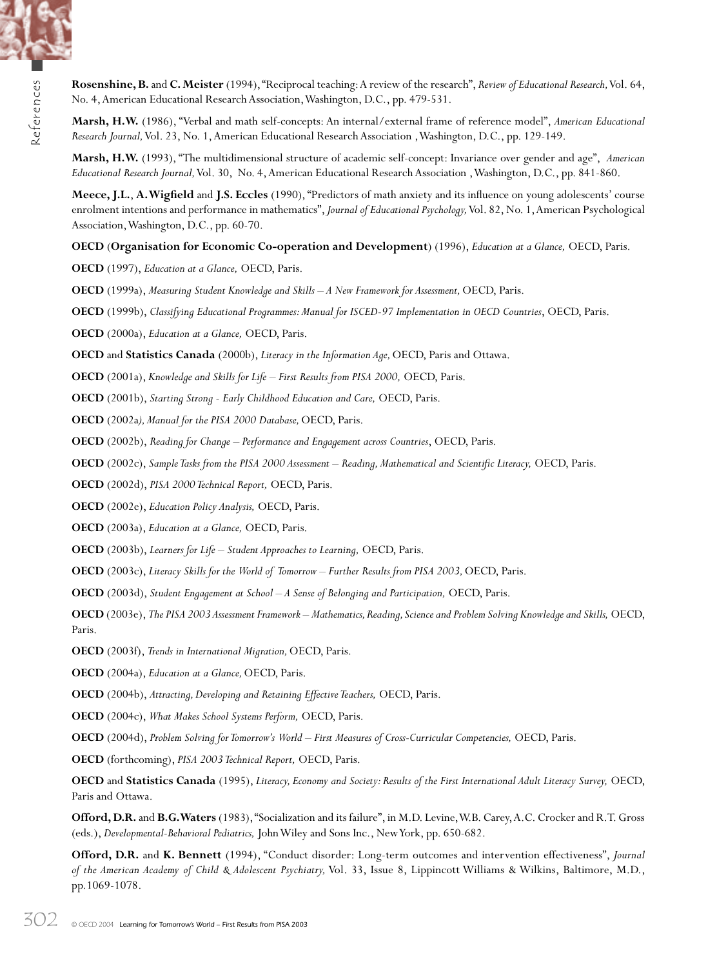

**Marsh, H.W.** (1986), "Verbal and math self-concepts: An internal/external frame of reference model", *American Educational Research Journal,* Vol. 23, No. 1, American Educational Research Association , Washington, D.C., pp. 129-149.

**Marsh, H.W.** (1993), "The multidimensional structure of academic self-concept: Invariance over gender and age", *American Educational Research Journal,* Vol. 30, No. 4, American Educational Research Association , Washington, D.C., pp. 841-860.

**Meece, J.L.**, **A. Wigfield** and **J.S. Eccles** (1990), "Predictors of math anxiety and its influence on young adolescents' course enrolment intentions and performance in mathematics", *Journal of Educational Psychology,* Vol. 82, No. 1, American Psychological Association, Washington, D.C., pp. 60-70.

**OECD** (**Organisation for Economic Co-operation and Development**) (1996), *Education at a Glance,* OECD, Paris.

**OECD** (1997), *Education at a Glance,* OECD, Paris.

**OECD** (1999a), *Measuring Student Knowledge and Skills – A New Framework for Assessment,* OECD, Paris.

**OECD** (1999b), *Classifying Educational Programmes: Manual for ISCED-97 Implementation in OECD Countries*, OECD, Paris.

**OECD** (2000a), *Education at a Glance,* OECD, Paris.

**OECD** and **Statistics Canada** (2000b), *Literacy in the Information Age,* OECD, Paris and Ottawa.

**OECD** (2001a), *Knowledge and Skills for Life – First Results from PISA 2000,* OECD, Paris.

**OECD** (2001b), *Starting Strong - Early Childhood Education and Care,* OECD, Paris.

**OECD** (2002a*), Manual for the PISA 2000 Database,* OECD, Paris.

**OECD** (2002b), *Reading for Change – Performance and Engagement across Countries*, OECD, Paris.

**OECD** (2002c), *Sample Tasks from the PISA 2000 Assessment – Reading, Mathematical and Scientific Literacy,* OECD, Paris.

**OECD** (2002d), *PISA 2000 Technical Report,* OECD, Paris.

**OECD** (2002e), *Education Policy Analysis,* OECD, Paris.

**OECD** (2003a), *Education at a Glance,* OECD, Paris.

**OECD** (2003b), *Learners for Life – Student Approaches to Learning,* OECD, Paris.

**OECD** (2003c), *Literacy Skills for the World of Tomorrow – Further Results from PISA 2003,*OECD, Paris.

**OECD** (2003d), *Student Engagement at School – A Sense of Belonging and Participation,* OECD, Paris.

**OECD** (2003e), *The PISA 2003 Assessment Framework – Mathematics, Reading, Science and Problem Solving Knowledge and Skills,* OECD, Paris.

**OECD** (2003f), *Trends in International Migration,*OECD, Paris.

**OECD** (2004a), *Education at a Glance,*OECD, Paris.

**OECD** (2004b), *Attracting, Developing and Retaining Effective Teachers,* OECD, Paris.

**OECD** (2004c), *What Makes School Systems Perform,* OECD, Paris.

**OECD** (2004d), *Problem Solving for Tomorrow's World – First Measures of Cross-Curricular Competencies,* OECD, Paris.

**OECD** (forthcoming), *PISA 2003 Technical Report,* OECD, Paris.

**OECD** and **Statistics Canada** (1995), *Literacy, Economy and Society: Results of the First International Adult Literacy Survey,* OECD, Paris and Ottawa.

**Offord, D.R.** and **B.G. Waters** (1983), "Socialization and its failure", in M.D. Levine, W.B. Carey, A.C. Crocker and R.T. Gross (eds.), *Developmental-Behavioral Pediatrics,* John Wiley and Sons Inc., New York, pp. 650-682.

**Offord, D.R.** and **K. Bennett** (1994), "Conduct disorder: Long-term outcomes and intervention effectiveness", *Journal of the American Academy of Child & Adolescent Psychiatry,* Vol. 33, Issue 8, Lippincott Williams & Wilkins, Baltimore, M.D., pp.1069-1078.